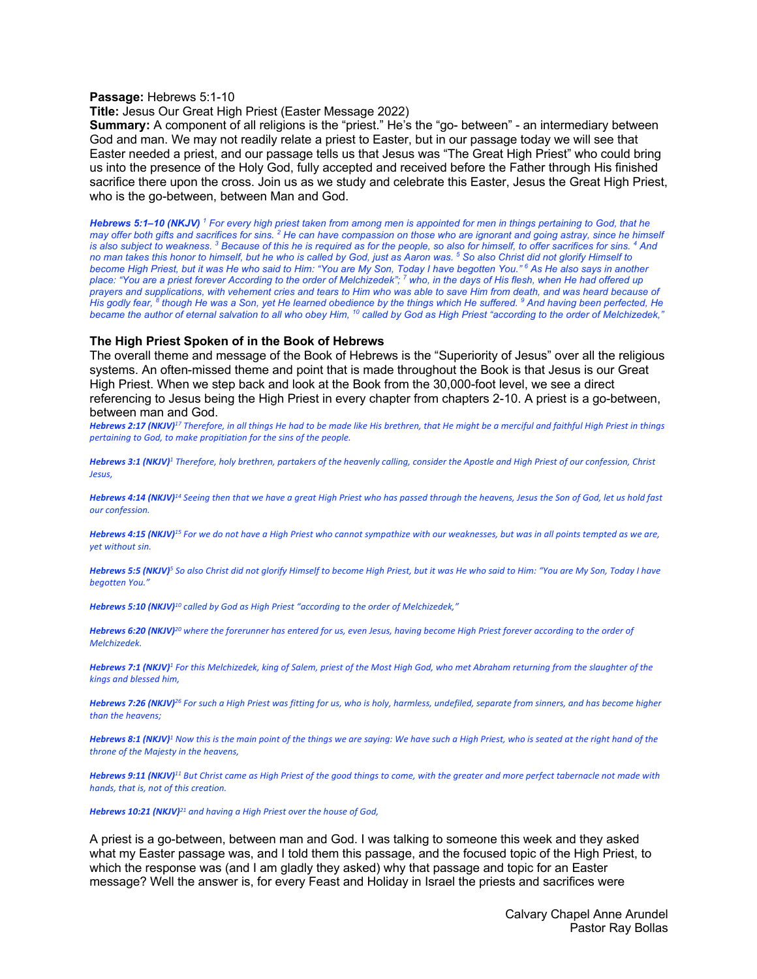#### **Passage:** Hebrews 5:1-10

### **Title:** Jesus Our Great High Priest (Easter Message 2022)

**Summary:** A component of all religions is the "priest." He's the "go- between" - an intermediary between God and man. We may not readily relate a priest to Easter, but in our passage today we will see that Easter needed a priest, and our passage tells us that Jesus was "The Great High Priest" who could bring us into the presence of the Holy God, fully accepted and received before the Father through His finished sacrifice there upon the cross. Join us as we study and celebrate this Easter, Jesus the Great High Priest, who is the go-between, between Man and God.

*Hebrews 5:1–10 (NKJV) <sup>1</sup> For every high priest taken from among men is appointed for men in things pertaining to God, that he may offer both gifts and sacrifices for sins. 2 He can have compassion on those who are ignorant and going astray, since he himself is also subject to weakness. 3 Because of this he is required as for the people, so also for himself, to offer sacrifices for sins. 4 And no man takes this honor to himself, but he who is called by God, just as Aaron was. 5 So also Christ did not glorify Himself to become High Priest, but it was He who said to Him: "You are My Son, Today I have begotten You." 6 As He also says in another place: "You are a priest forever According to the order of Melchizedek"; <sup>7</sup> who, in the days of His flesh, when He had offered up prayers and supplications, with vehement cries and tears to Him who was able to save Him from death, and was heard because of His godly fear, 8 though He was a Son, yet He learned obedience by the things which He suffered. 9 And having been perfected, He became the author of eternal salvation to all who obey Him, 10 called by God as High Priest "according to the order of Melchizedek,"* 

#### **The High Priest Spoken of in the Book of Hebrews**

The overall theme and message of the Book of Hebrews is the "Superiority of Jesus" over all the religious systems. An often-missed theme and point that is made throughout the Book is that Jesus is our Great High Priest. When we step back and look at the Book from the 30,000-foot level, we see a direct referencing to Jesus being the High Priest in every chapter from chapters 2-10. A priest is a go-between, between man and God.

*Hebrews 2:17 (NKJV)<sup>17</sup> Therefore, in all things He had to be made like His brethren, that He might be a merciful and faithful High Priest in things pertaining to God, to make propitiation for the sins of the people.*

*Hebrews 3:1 (NKJV)<sup>1</sup> Therefore, holy brethren, partakers of the heavenly calling, consider the Apostle and High Priest of our confession, Christ Jesus,*

*Hebrews 4:14 (NKJV)<sup>14</sup> Seeing then that we have a great High Priest who has passed through the heavens, Jesus the Son of God, let us hold fast our confession.*

*Hebrews 4:15 (NKJV)<sup>15</sup> For we do not have a High Priest who cannot sympathize with our weaknesses, but was in all points tempted as we are, yet without sin.*

*Hebrews 5:5 (NKJV)<sup>5</sup> So also Christ did not glorify Himself to become High Priest, but it was He who said to Him: "You are My Son, Today I have begotten You."*

*Hebrews 5:10 (NKJV)<sup>10</sup> called by God as High Priest "according to the order of Melchizedek,"*

*Hebrews 6:20 (NKJV)<sup>20</sup> where the forerunner has entered for us, even Jesus, having become High Priest forever according to the order of Melchizedek.*

*Hebrews 7:1 (NKJV)<sup>1</sup> For this Melchizedek, king of Salem, priest of the Most High God, who met Abraham returning from the slaughter of the kings and blessed him,*

*Hebrews 7:26 (NKJV)<sup>26</sup> For such a High Priest was fitting for us, who is holy, harmless, undefiled, separate from sinners, and has become higher than the heavens;*

*Hebrews 8:1 (NKJV)<sup>1</sup> Now this is the main point of the things we are saying: We have such a High Priest, who is seated at the right hand of the throne of the Majesty in the heavens,*

*Hebrews 9:11 (NKJV)<sup>11</sup> But Christ came as High Priest of the good things to come, with the greater and more perfect tabernacle not made with hands, that is, not of this creation.*

#### *Hebrews 10:21 (NKJV)<sup>21</sup> and having a High Priest over the house of God,*

A priest is a go-between, between man and God. I was talking to someone this week and they asked what my Easter passage was, and I told them this passage, and the focused topic of the High Priest, to which the response was (and I am gladly they asked) why that passage and topic for an Easter message? Well the answer is, for every Feast and Holiday in Israel the priests and sacrifices were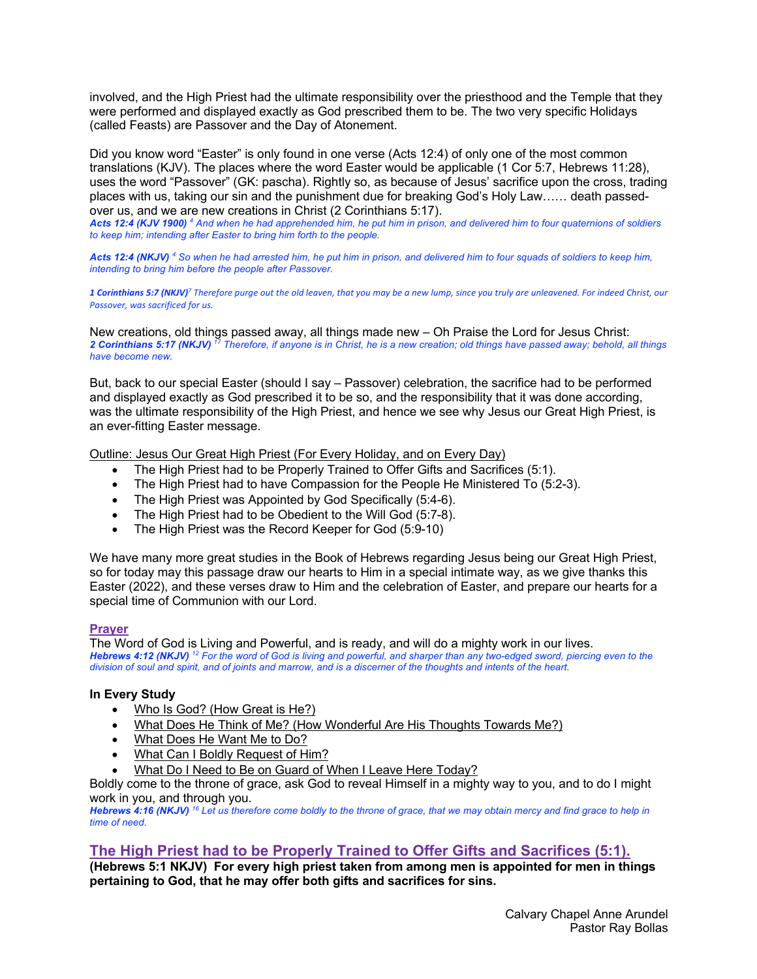involved, and the High Priest had the ultimate responsibility over the priesthood and the Temple that they were performed and displayed exactly as God prescribed them to be. The two very specific Holidays (called Feasts) are Passover and the Day of Atonement.

Did you know word "Easter" is only found in one verse (Acts 12:4) of only one of the most common translations (KJV). The places where the word Easter would be applicable (1 Cor 5:7, Hebrews 11:28), uses the word "Passover" (GK: pascha). Rightly so, as because of Jesus' sacrifice upon the cross, trading places with us, taking our sin and the punishment due for breaking God's Holy Law…… death passedover us, and we are new creations in Christ (2 Corinthians 5:17).

*Acts 12:4 (KJV 1900) <sup>4</sup> And when he had apprehended him, he put him in prison, and delivered him to four quaternions of soldiers to keep him; intending after Easter to bring him forth to the people.* 

*Acts 12:4 (NKJV) <sup>4</sup> So when he had arrested him, he put him in prison, and delivered him to four squads of soldiers to keep him, intending to bring him before the people after Passover.* 

*1 Corinthians 5:7 (NKJV)<sup>7</sup> Therefore purge out the old leaven, that you may be a new lump, since you truly are unleavened. For indeed Christ, our Passover, was sacrificed for us.*

New creations, old things passed away, all things made new – Oh Praise the Lord for Jesus Christ: *2 Corinthians 5:17 (NKJV) <sup>17</sup> Therefore, if anyone is in Christ, he is a new creation; old things have passed away; behold, all things have become new.* 

But, back to our special Easter (should I say – Passover) celebration, the sacrifice had to be performed and displayed exactly as God prescribed it to be so, and the responsibility that it was done according, was the ultimate responsibility of the High Priest, and hence we see why Jesus our Great High Priest, is an ever-fitting Easter message.

Outline: Jesus Our Great High Priest (For Every Holiday, and on Every Day)

- The High Priest had to be Properly Trained to Offer Gifts and Sacrifices (5:1).
- The High Priest had to have Compassion for the People He Ministered To (5:2-3).
- The High Priest was Appointed by God Specifically (5:4-6).
- The High Priest had to be Obedient to the Will God (5:7-8).
- The High Priest was the Record Keeper for God (5:9-10)

We have many more great studies in the Book of Hebrews regarding Jesus being our Great High Priest, so for today may this passage draw our hearts to Him in a special intimate way, as we give thanks this Easter (2022), and these verses draw to Him and the celebration of Easter, and prepare our hearts for a special time of Communion with our Lord.

# **Prayer**

The Word of God is Living and Powerful, and is ready, and will do a mighty work in our lives. *Hebrews 4:12 (NKJV) <sup>12</sup> For the word of God is living and powerful, and sharper than any two-edged sword, piercing even to the division of soul and spirit, and of joints and marrow, and is a discerner of the thoughts and intents of the heart.* 

# **In Every Study**

- Who Is God? (How Great is He?)
- What Does He Think of Me? (How Wonderful Are His Thoughts Towards Me?)
- What Does He Want Me to Do?
- What Can I Boldly Request of Him?
- What Do I Need to Be on Guard of When I Leave Here Today?

Boldly come to the throne of grace, ask God to reveal Himself in a mighty way to you, and to do I might work in you, and through you.

*Hebrews 4:16 (NKJV) <sup>16</sup> Let us therefore come boldly to the throne of grace, that we may obtain mercy and find grace to help in time of need.*

# **The High Priest had to be Properly Trained to Offer Gifts and Sacrifices (5:1).**

**(Hebrews 5:1 NKJV) For every high priest taken from among men is appointed for men in things pertaining to God, that he may offer both gifts and sacrifices for sins.**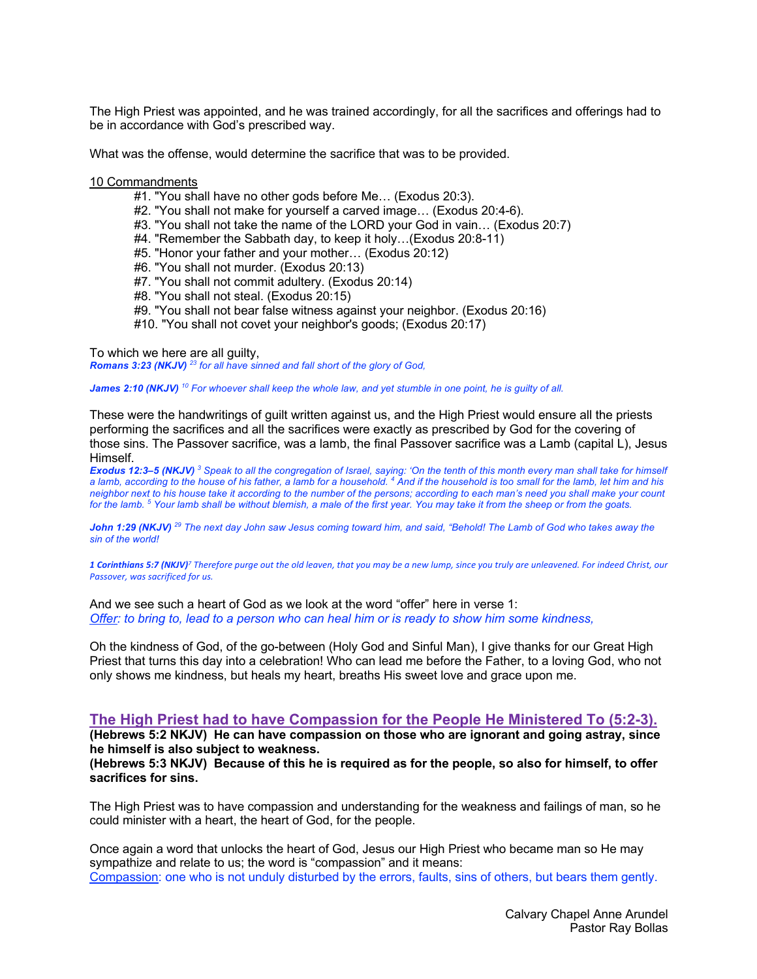The High Priest was appointed, and he was trained accordingly, for all the sacrifices and offerings had to be in accordance with God's prescribed way.

What was the offense, would determine the sacrifice that was to be provided.

10 Commandments

- #1. "You shall have no other gods before Me… (Exodus 20:3).
- #2. "You shall not make for yourself a carved image… (Exodus 20:4-6).
- #3. "You shall not take the name of the LORD your God in vain… (Exodus 20:7)
- #4. "Remember the Sabbath day, to keep it holy…(Exodus 20:8-11)
- #5. "Honor your father and your mother… (Exodus 20:12)
- #6. "You shall not murder. (Exodus 20:13)
- #7. "You shall not commit adultery. (Exodus 20:14)
- #8. "You shall not steal. (Exodus 20:15)
- #9. "You shall not bear false witness against your neighbor. (Exodus 20:16)
- #10. "You shall not covet your neighbor's goods; (Exodus 20:17)

To which we here are all guilty,

*Romans 3:23 (NKJV) <sup>23</sup> for all have sinned and fall short of the glory of God,* 

*James 2:10 (NKJV) <sup>10</sup> For whoever shall keep the whole law, and yet stumble in one point, he is guilty of all.* 

These were the handwritings of guilt written against us, and the High Priest would ensure all the priests performing the sacrifices and all the sacrifices were exactly as prescribed by God for the covering of those sins. The Passover sacrifice, was a lamb, the final Passover sacrifice was a Lamb (capital L), Jesus Himself.

*Exodus 12:3–5 (NKJV) <sup>3</sup> Speak to all the congregation of Israel, saying: 'On the tenth of this month every man shall take for himself a lamb, according to the house of his father, a lamb for a household. 4 And if the household is too small for the lamb, let him and his neighbor next to his house take it according to the number of the persons; according to each man's need you shall make your count for the lamb. 5 Your lamb shall be without blemish, a male of the first year. You may take it from the sheep or from the goats.* 

*John 1:29 (NKJV) <sup>29</sup> The next day John saw Jesus coming toward him, and said, "Behold! The Lamb of God who takes away the sin of the world!* 

*1 Corinthians 5:7 (NKJV)<sup>7</sup> Therefore purge out the old leaven, that you may be a new lump, since you truly are unleavened. For indeed Christ, our Passover, was sacrificed for us.*

And we see such a heart of God as we look at the word "offer" here in verse 1: *Offer: to bring to, lead to a person who can heal him or is ready to show him some kindness,*

Oh the kindness of God, of the go-between (Holy God and Sinful Man), I give thanks for our Great High Priest that turns this day into a celebration! Who can lead me before the Father, to a loving God, who not only shows me kindness, but heals my heart, breaths His sweet love and grace upon me.

# **The High Priest had to have Compassion for the People He Ministered To (5:2-3).**

**(Hebrews 5:2 NKJV) He can have compassion on those who are ignorant and going astray, since he himself is also subject to weakness.**

**(Hebrews 5:3 NKJV) Because of this he is required as for the people, so also for himself, to offer sacrifices for sins.**

The High Priest was to have compassion and understanding for the weakness and failings of man, so he could minister with a heart, the heart of God, for the people.

Once again a word that unlocks the heart of God, Jesus our High Priest who became man so He may sympathize and relate to us; the word is "compassion" and it means: Compassion: one who is not unduly disturbed by the errors, faults, sins of others, but bears them gently.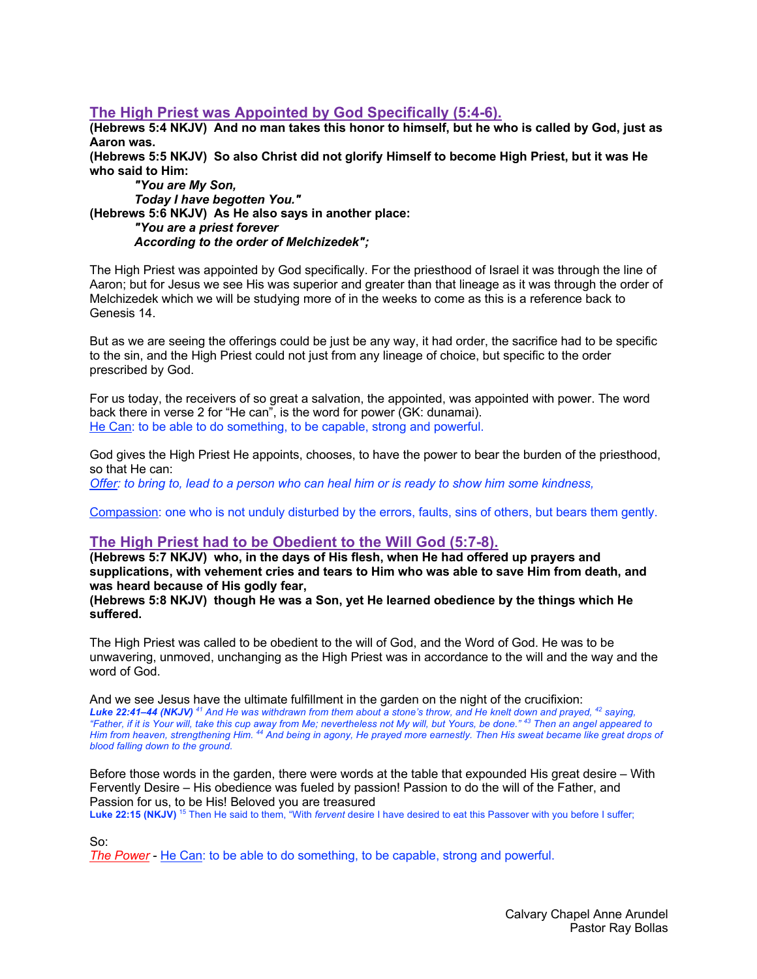# **The High Priest was Appointed by God Specifically (5:4-6).**

**(Hebrews 5:4 NKJV) And no man takes this honor to himself, but he who is called by God, just as Aaron was.**

**(Hebrews 5:5 NKJV) So also Christ did not glorify Himself to become High Priest, but it was He who said to Him:** 

*"You are My Son, Today I have begotten You."* **(Hebrews 5:6 NKJV) As He also says in another place:**  *"You are a priest forever According to the order of Melchizedek";*

The High Priest was appointed by God specifically. For the priesthood of Israel it was through the line of Aaron; but for Jesus we see His was superior and greater than that lineage as it was through the order of Melchizedek which we will be studying more of in the weeks to come as this is a reference back to Genesis 14.

But as we are seeing the offerings could be just be any way, it had order, the sacrifice had to be specific to the sin, and the High Priest could not just from any lineage of choice, but specific to the order prescribed by God.

For us today, the receivers of so great a salvation, the appointed, was appointed with power. The word back there in verse 2 for "He can", is the word for power (GK: dunamai). He Can: to be able to do something, to be capable, strong and powerful.

God gives the High Priest He appoints, chooses, to have the power to bear the burden of the priesthood, so that He can:

*Offer: to bring to, lead to a person who can heal him or is ready to show him some kindness,*

Compassion: one who is not unduly disturbed by the errors, faults, sins of others, but bears them gently.

# **The High Priest had to be Obedient to the Will God (5:7-8).**

**(Hebrews 5:7 NKJV) who, in the days of His flesh, when He had offered up prayers and supplications, with vehement cries and tears to Him who was able to save Him from death, and was heard because of His godly fear,**

**(Hebrews 5:8 NKJV) though He was a Son, yet He learned obedience by the things which He suffered.**

The High Priest was called to be obedient to the will of God, and the Word of God. He was to be unwavering, unmoved, unchanging as the High Priest was in accordance to the will and the way and the word of God.

And we see Jesus have the ultimate fulfillment in the garden on the night of the crucifixion: *Luke 22:41–44 (NKJV) <sup>41</sup> And He was withdrawn from them about a stone's throw, and He knelt down and prayed, 42 saying, "Father, if it is Your will, take this cup away from Me; nevertheless not My will, but Yours, be done." 43 Then an angel appeared to Him from heaven, strengthening Him. 44 And being in agony, He prayed more earnestly. Then His sweat became like great drops of blood falling down to the ground.* 

Before those words in the garden, there were words at the table that expounded His great desire – With Fervently Desire – His obedience was fueled by passion! Passion to do the will of the Father, and Passion for us, to be His! Beloved you are treasured

**Luke 22:15 (NKJV)** <sup>15</sup> Then He said to them, "With *fervent* desire I have desired to eat this Passover with you before I suffer;

So:

*The Power* - He Can: to be able to do something, to be capable, strong and powerful.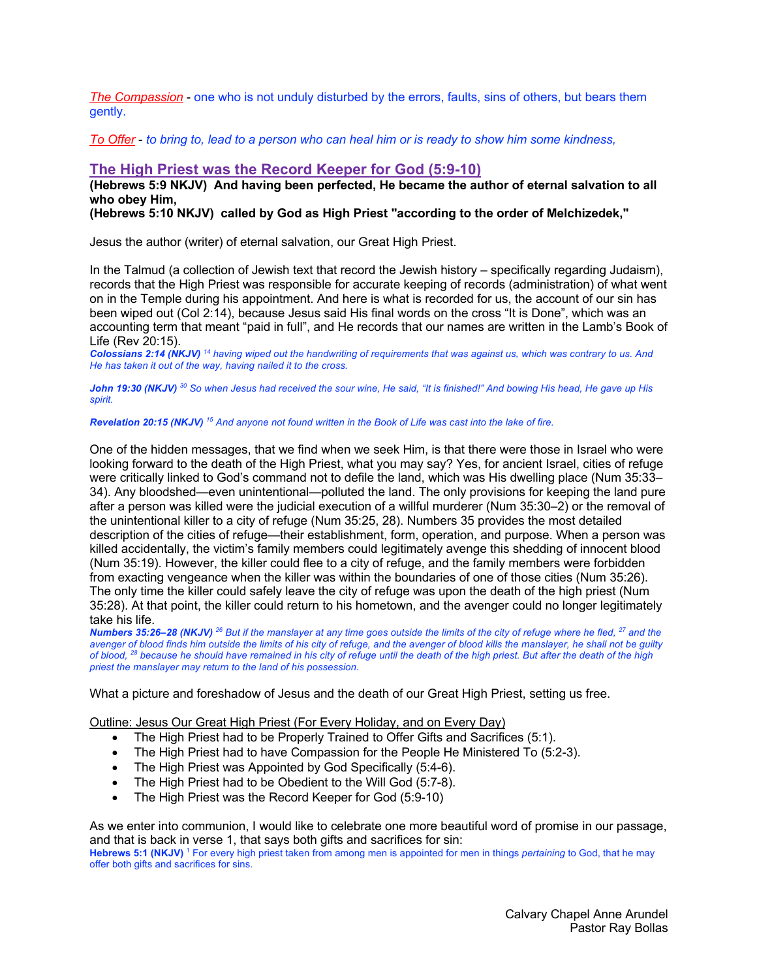*The Compassion* - one who is not unduly disturbed by the errors, faults, sins of others, but bears them gently.

*To Offer* - *to bring to, lead to a person who can heal him or is ready to show him some kindness,*

# **The High Priest was the Record Keeper for God (5:9-10)**

**(Hebrews 5:9 NKJV) And having been perfected, He became the author of eternal salvation to all who obey Him,**

**(Hebrews 5:10 NKJV) called by God as High Priest "according to the order of Melchizedek,"**

Jesus the author (writer) of eternal salvation, our Great High Priest.

In the Talmud (a collection of Jewish text that record the Jewish history – specifically regarding Judaism), records that the High Priest was responsible for accurate keeping of records (administration) of what went on in the Temple during his appointment. And here is what is recorded for us, the account of our sin has been wiped out (Col 2:14), because Jesus said His final words on the cross "It is Done", which was an accounting term that meant "paid in full", and He records that our names are written in the Lamb's Book of Life (Rev 20:15).

*Colossians 2:14 (NKJV) <sup>14</sup> having wiped out the handwriting of requirements that was against us, which was contrary to us. And He has taken it out of the way, having nailed it to the cross.* 

*John 19:30 (NKJV) <sup>30</sup> So when Jesus had received the sour wine, He said, "It is finished!" And bowing His head, He gave up His spirit.* 

*Revelation 20:15 (NKJV) <sup>15</sup> And anyone not found written in the Book of Life was cast into the lake of fire.* 

One of the hidden messages, that we find when we seek Him, is that there were those in Israel who were looking forward to the death of the High Priest, what you may say? Yes, for ancient Israel, cities of refuge were critically linked to God's command not to defile the land, which was His dwelling place (Num 35:33– 34). Any bloodshed—even unintentional—polluted the land. The only provisions for keeping the land pure after a person was killed were the judicial execution of a willful murderer (Num 35:30–2) or the removal of the unintentional killer to a city of refuge (Num 35:25, 28). Numbers 35 provides the most detailed description of the cities of refuge—their establishment, form, operation, and purpose. When a person was killed accidentally, the victim's family members could legitimately avenge this shedding of innocent blood (Num 35:19). However, the killer could flee to a city of refuge, and the family members were forbidden from exacting vengeance when the killer was within the boundaries of one of those cities (Num 35:26). The only time the killer could safely leave the city of refuge was upon the death of the high priest (Num 35:28). At that point, the killer could return to his hometown, and the avenger could no longer legitimately take his life.

*Numbers 35:26–28 (NKJV) <sup>26</sup> But if the manslayer at any time goes outside the limits of the city of refuge where he fled, 27 and the avenger of blood finds him outside the limits of his city of refuge, and the avenger of blood kills the manslayer, he shall not be guilty of blood, 28 because he should have remained in his city of refuge until the death of the high priest. But after the death of the high priest the manslayer may return to the land of his possession.* 

What a picture and foreshadow of Jesus and the death of our Great High Priest, setting us free.

Outline: Jesus Our Great High Priest (For Every Holiday, and on Every Day)

- The High Priest had to be Properly Trained to Offer Gifts and Sacrifices (5:1).
- The High Priest had to have Compassion for the People He Ministered To (5:2-3).
- The High Priest was Appointed by God Specifically (5:4-6).
- The High Priest had to be Obedient to the Will God (5:7-8).
- The High Priest was the Record Keeper for God (5:9-10)

As we enter into communion, I would like to celebrate one more beautiful word of promise in our passage, and that is back in verse 1, that says both gifts and sacrifices for sin:

**Hebrews 5:1 (NKJV)** <sup>1</sup> For every high priest taken from among men is appointed for men in things *pertaining* to God, that he may offer both gifts and sacrifices for sins.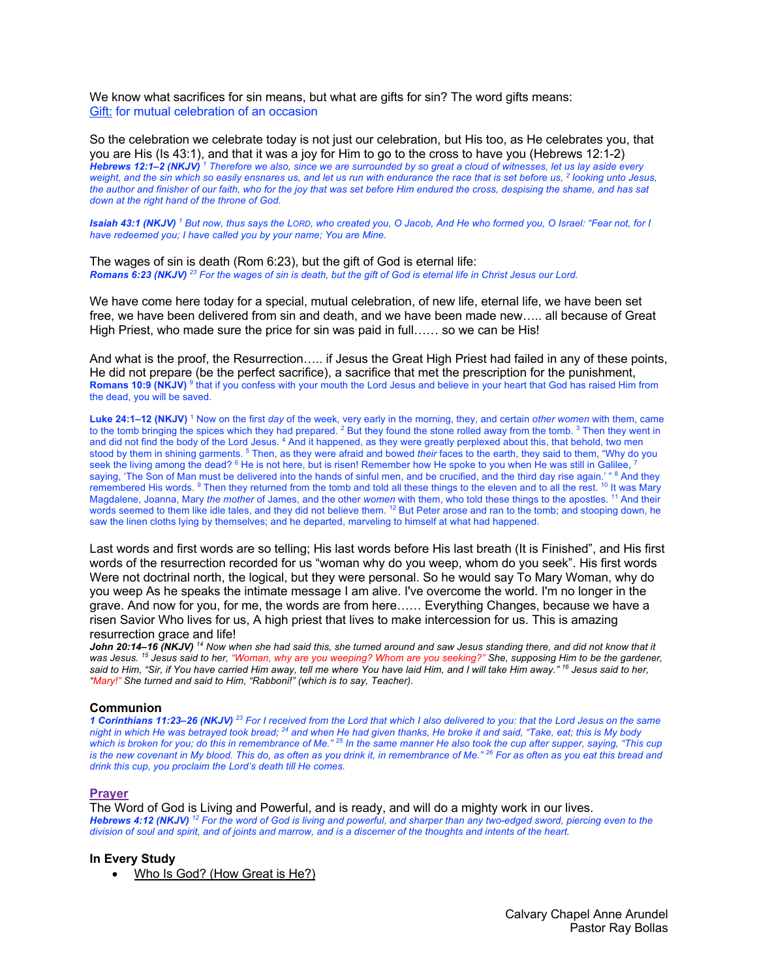We know what sacrifices for sin means, but what are gifts for sin? The word gifts means: Gift: for mutual celebration of an occasion

So the celebration we celebrate today is not just our celebration, but His too, as He celebrates you, that you are His (Is 43:1), and that it was a joy for Him to go to the cross to have you (Hebrews 12:1-2) *Hebrews 12:1–2 (NKJV) <sup>1</sup> Therefore we also, since we are surrounded by so great a cloud of witnesses, let us lay aside every weight, and the sin which so easily ensnares us, and let us run with endurance the race that is set before us, 2 looking unto Jesus, the author and finisher of our faith, who for the joy that was set before Him endured the cross, despising the shame, and has sat down at the right hand of the throne of God.* 

*Isaiah 43:1 (NKJV) <sup>1</sup> But now, thus says the LORD, who created you, O Jacob, And He who formed you, O Israel: "Fear not, for I have redeemed you; I have called you by your name; You are Mine.* 

The wages of sin is death (Rom 6:23), but the gift of God is eternal life: *Romans 6:23 (NKJV) <sup>23</sup> For the wages of sin is death, but the gift of God is eternal life in Christ Jesus our Lord.* 

We have come here today for a special, mutual celebration, of new life, eternal life, we have been set free, we have been delivered from sin and death, and we have been made new….. all because of Great High Priest, who made sure the price for sin was paid in full…… so we can be His!

And what is the proof, the Resurrection….. if Jesus the Great High Priest had failed in any of these points, He did not prepare (be the perfect sacrifice), a sacrifice that met the prescription for the punishment, **Romans 10:9 (NKJV)** <sup>9</sup> that if you confess with your mouth the Lord Jesus and believe in your heart that God has raised Him from the dead, you will be saved.

**Luke 24:1–12 (NKJV)** <sup>1</sup> Now on the first *day* of the week, very early in the morning, they, and certain *other women* with them, came to the tomb bringing the spices which they had prepared. <sup>2</sup> But they found the stone rolled away from the tomb. <sup>3</sup> Then they went in and did not find the body of the Lord Jesus. <sup>4</sup> And it happened, as they were greatly perplexed about this, that behold, two men stood by them in shining garments. 5 Then, as they were afraid and bowed *their* faces to the earth, they said to them, "Why do you seek the living among the dead? <sup>6</sup> He is not here, but is risen! Remember how He spoke to you when He was still in Galilee, saying, 'The Son of Man must be delivered into the hands of sinful men, and be crucified, and the third day rise again.' " <sup>8</sup> And they remembered His words. <sup>9</sup> Then they returned from the tomb and told all these things to the eleven and to all the rest. <sup>10</sup> It was Mary Magdalene, Joanna, Mary *the mother* of James, and the other *women* with them, who told these things to the apostles. 11 And their words seemed to them like idle tales, and they did not believe them. <sup>12</sup> But Peter arose and ran to the tomb; and stooping down, he saw the linen cloths lying by themselves; and he departed, marveling to himself at what had happened.

Last words and first words are so telling; His last words before His last breath (It is Finished", and His first words of the resurrection recorded for us "woman why do you weep, whom do you seek". His first words Were not doctrinal north, the logical, but they were personal. So he would say To Mary Woman, why do you weep As he speaks the intimate message I am alive. I've overcome the world. I'm no longer in the grave. And now for you, for me, the words are from here…… Everything Changes, because we have a risen Savior Who lives for us, A high priest that lives to make intercession for us. This is amazing resurrection grace and life!

*John 20:14–16 (NKJV) <sup>14</sup> Now when she had said this, she turned around and saw Jesus standing there, and did not know that it was Jesus. 15 Jesus said to her, "Woman, why are you weeping? Whom are you seeking?" She, supposing Him to be the gardener, said to Him, "Sir, if You have carried Him away, tell me where You have laid Him, and I will take Him away." 16 Jesus said to her, "Mary!" She turned and said to Him, "Rabboni!" (which is to say, Teacher).* 

# **Communion**

*1 Corinthians 11:23–26 (NKJV) <sup>23</sup> For I received from the Lord that which I also delivered to you: that the Lord Jesus on the same night in which He was betrayed took bread; 24 and when He had given thanks, He broke it and said, "Take, eat; this is My body which is broken for you; do this in remembrance of Me."* <sup>25</sup> *In the same manner He also took the cup after supper, saying, "This cup is the new covenant in My blood. This do, as often as you drink it, in remembrance of Me." 26 For as often as you eat this bread and drink this cup, you proclaim the Lord's death till He comes.* 

# **Prayer**

The Word of God is Living and Powerful, and is ready, and will do a mighty work in our lives. *Hebrews 4:12 (NKJV) <sup>12</sup> For the word of God is living and powerful, and sharper than any two-edged sword, piercing even to the division of soul and spirit, and of joints and marrow, and is a discerner of the thoughts and intents of the heart.* 

# **In Every Study**

• Who Is God? (How Great is He?)